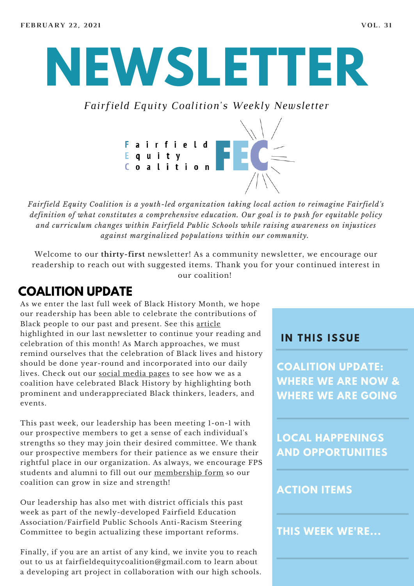# **NEWSLETTER**

*Fairfield Equity Coalition's Weekly Newsletter*



*Fairfield Equity Coalition is a youth-led organization taking local action to reimagine Fairfield's definition of what constitutes a comprehensive education. Our goal is to push for equitable policy and curriculum changes within Fairfield Public Schools while raising awareness on injustices against marginalized populations within our community.*

Welcome to our **thirty-first** newsletter! As a community newsletter, we encourage our readership to reach out with suggested items. Thank you for your continued interest in our coalition!

#### **COALITION UPDATE**

As we enter the last full week of Black History Month, we hope our readership has been able to celebrate the contributions of Black people to our past and present. See this [article](https://www.learningforjustice.org/magazine/black-history-month-teaching-the-complete-history) highlighted in our last newsletter to continue your reading and celebration of this month! As March approaches, we must remind ourselves that the celebration of Black lives and history should be done year-round and incorporated into our daily lives. Check out our social [media](https://www.instagram.com/fairfieldequitycoalition/) pages to see how we as a coalition have celebrated Black History by highlighting both prominent and underappreciated Black thinkers, leaders, and events.

This past week, our leadership has been meeting 1-on-1 with our prospective members to get a sense of each individual's strengths so they may join their desired committee. We thank our prospective members for their patience as we ensure their rightful place in our organization. As always, we encourage FPS students and alumni to fill out our [membership](https://www.fairfieldequitycoalition.org/get-involved) form so our coalition can grow in size and strength!

Our leadership has also met with district officials this past week as part of the newly-developed Fairfield Education Association/Fairfield Public Schools Anti-Racism Steering Committee to begin actualizing these important reforms.

Finally, if you are an artist of any kind, we invite you to reach out to us at fairfieldequitycoalition@gmail.com to learn about a developing art project in collaboration with our high schools.

#### **I N THIS ISSUE**

**COALITION UPDATE: WHERE WE ARE NOW & WHERE WE ARE GOING**

**LOCAL HAPPENINGS AND OPPORTUNITIES**

#### **ACTION ITEMS**

**THIS WEEK WE'RE...**